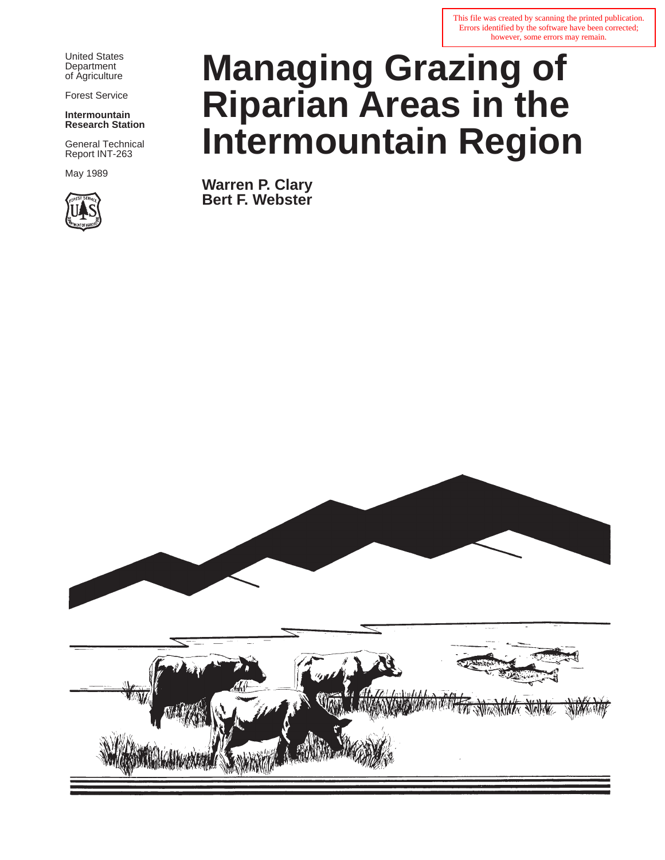This file was created by scanning the printed publication. Errors identified by the software have been corrected; however, some errors may remain.

United States **Department** of Agriculture

Forest Service

**Intermountain Research Station**

General Technical Report INT-263

May 1989



# **Managing Grazing of Riparian Areas in the Intermountain Region**

**Warren P. Clary Bert F. Webster**

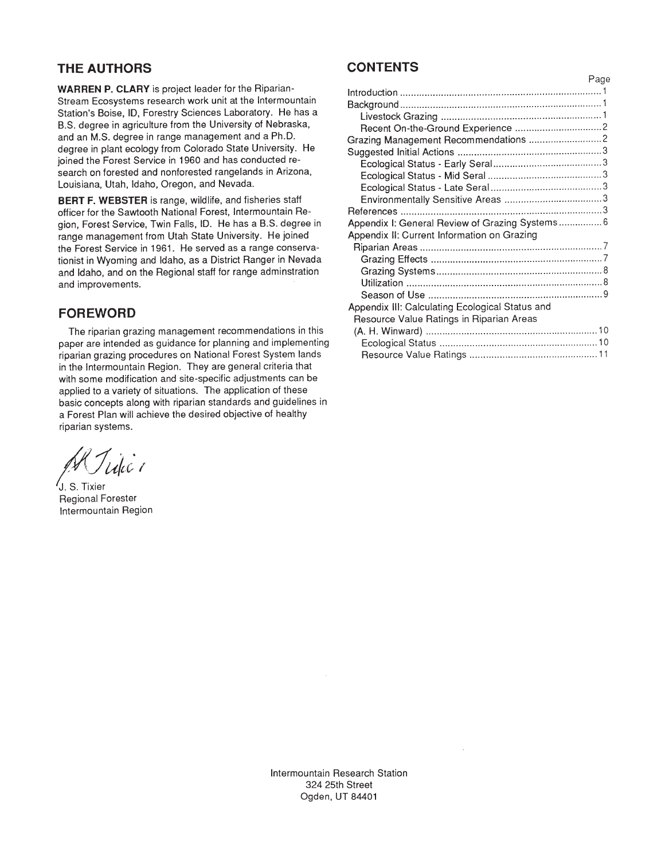### **THE AUTHORS**

**WARREN P. CLARY** is project leader for the Riparian-Stream Ecosystems research work unit at the lntermountain Station's Boise, ID, Forestry Sciences Laboratory. He has a B.S. degree in agriculture from the University of Nebraska. and an M.S. degree in range management and a Ph.D. degree in plant ecology from Colorado State University. He joined the Forest Service in 1960 and has conducted research on forested and nonforested rangelands in Arizona. Louisiana, Utah, Idaho, Oregon, and Nevada.

**BERT F. WEBSTER** is range, wildlife, and fisheries staff officer for the Sawtooth National Forest. lntermountain Region, Forest Service, Twin Falls, ID. He has a B.S. degree in range management from Utah State University. He joined the Forest Service in 1961. He served as a range conservationist in Wyoming and Idaho. as a District Ranger in Nevada and Idaho. and on the Regional staff for range adminstration and improvements.

#### **FOREWORD**

The riparian grazing management recommendations in this paper are intended as guidance for planning and implementing riparian grazing procedures on National Forest System lands in the Intermountain Region. They are general criteria that with some modification and site-specific adjustments can be applied to a variety of situations. The application of these basic concepts along with riparian standards and guidelines in a Forest Plan will achieve the desired objective of healthy riparian systems .

'Ukc'

'J . S . Tixier Regional Forester lntermountain Region

#### **CONTENTS**

|                                                 | Page |
|-------------------------------------------------|------|
|                                                 |      |
|                                                 |      |
|                                                 |      |
|                                                 |      |
|                                                 |      |
|                                                 |      |
|                                                 |      |
|                                                 |      |
|                                                 |      |
|                                                 |      |
|                                                 |      |
| Appendix I: General Review of Grazing Systems 6 |      |
| Appendix II: Current Information on Grazing     |      |
|                                                 |      |
|                                                 |      |
|                                                 |      |
|                                                 |      |
|                                                 |      |
| Appendix III: Calculating Ecological Status and |      |
| Resource Value Ratings in Riparian Areas        |      |
|                                                 |      |
|                                                 |      |
|                                                 |      |

lntermountain Research Station 324 25th Street Ogden. UT 84401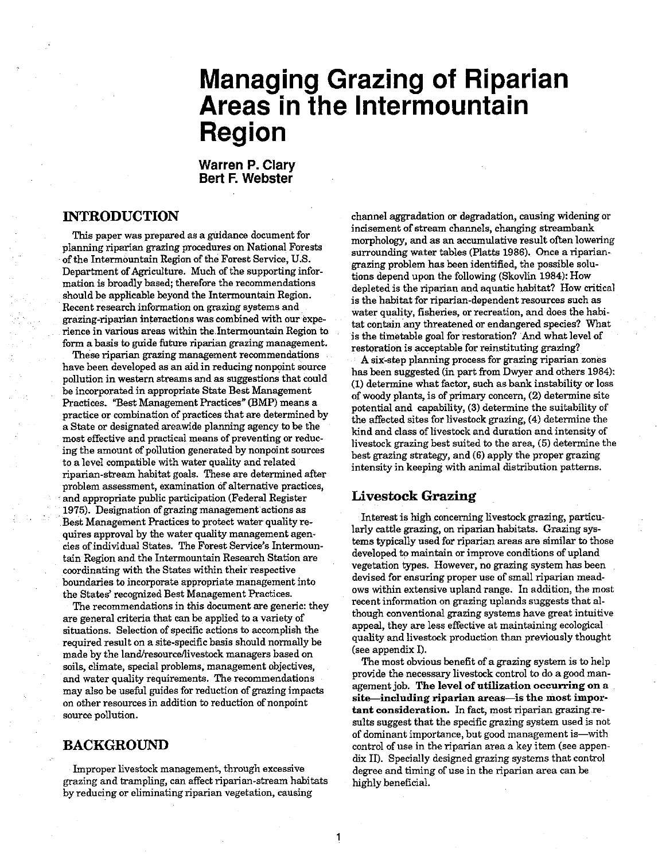## **Managing Grazing of Riparian Areas in the Intermountain Region**

**Warren P. Clary Bert F. Webster** 

#### **INTRODUCTION**

This paper was prepared as a guidance document for planning riparian grazing procedures on National Forests of the Intermountain Region of the Forest Service, U.S. Department of Agriculture. Much of the supporting information is broadly based; therefore the recommendations should be applicable beyond the Intermountain Region. Recent research information on grazing systems and grazing-riparian interactions was combined with our experience in various areas within the Intermountain Region to form a basis to guide future riparian grazing management.

These riparian grazing management recommendations have been developed as an aid in reducing nonpoint source pollution in western streams and **as** suggestions that could be incorporated in appropriate State Best Management Practices. "Best Management Practices" (BMP) means a practice or combination of practices that are determined by a State or designated areawide planning agency to be the most effective and practical means of preventing or reducing the amount of pollution generated by nonpoint sources to a level compatible with water quality and related riparian-stream habitat goals. These are determined after problem assessment, examination of alternative practices, and appropriate public participation (Federal Register 1975). Designation of grazing management actions as Best Management Practices to protect water quality requires approval by the water quality management agencies of individual States. The Forest Service's Intermountain Region and the Intermountain Research Station are coordinating with the States within their respective boundaries to incorporate appropriate management into the States' recognized Best Management Practices.

The recommendations in this document are generic: they are general criteria that **can** be applied to a variety of situations. Selection of specific actions to accomplish the required result on a site-speafic basis should normally be made by the land/resource/livestock managers based on soils, climate, special problems, management objectives, and water quality requirements. The recommendations may also be useful guides for reduction of grazing impacts on other resources in addition to reduction of nonpoint source pollution.

#### **BACKGROUND**

Improper livestock management, through excessive grazing and trampling, can affect riparian-stream habitats by reducing or eliminating riparian vegetation, causing

channel aggradation or degradation, causing widening or incisement of stream channels, changing streambank morphology, and as an accumulative result often lowering surrounding water tables (Platts 1986). Once a ripariangrazing problem has been identified, the possible solutions depend upon the following (Skovlin 1984): How depleted is the riparian and aquatic habitat? How critical is the habitat for riparian-dependent resources such as water quality, fisheries, or recreation, and does the habitat contain any threatened or endangered species? What is the timetable goal for restoration? And what level of restoration is acceptable for reinstituting grazing?

A six-step planning process for grazing riparian zones bas been suggested (in part from Dwyer and others 1984): (1) determine what factor, such as bank instability or loss of woody plants, is of primary concern, (2) determine site potential and capability, (3) determine the suitability of the affected sites for livestock grazing, (4) determine the kind and class of livestock and duration and intensity of' livestock grazing best suited to the area, (5) determine the best grazing strategy, and (6) apply the proper grazing intensity in keeping with animal distribution patterns.

#### **Livestock Grazing**

1

Interest is high concerning livestock grazing, particularly cattle grazing, on riparian habitats. Grazing systems typically used for riparian areas are similar to those developed to maintain or improve conditions of upland vegetation types. However, no grazing system has been devised for ensuring proper use of small riparian meadows within extensive upland range. In addition, the most recent information on grazing uplands suggests that although conventional grazing systems have great intuitive appeal, they are less effective at maintaining ecological quality and livestock production than previously thought (see appendix I).

The most obvious benefit of a grazing system is to help provide the necessary livestock control to do a good management job. The level of utilization occurring on a site—including riparian areas—is the most important consideration. In fact, most riparian grazing results suggest that the specific grazing system used is not of dominant importance, but good management is-with control of use in the riparian area a key item (see appen**dix** 11). Specially designed grazing systems that control degree and timing of use in the riparian area can be highly beneficial.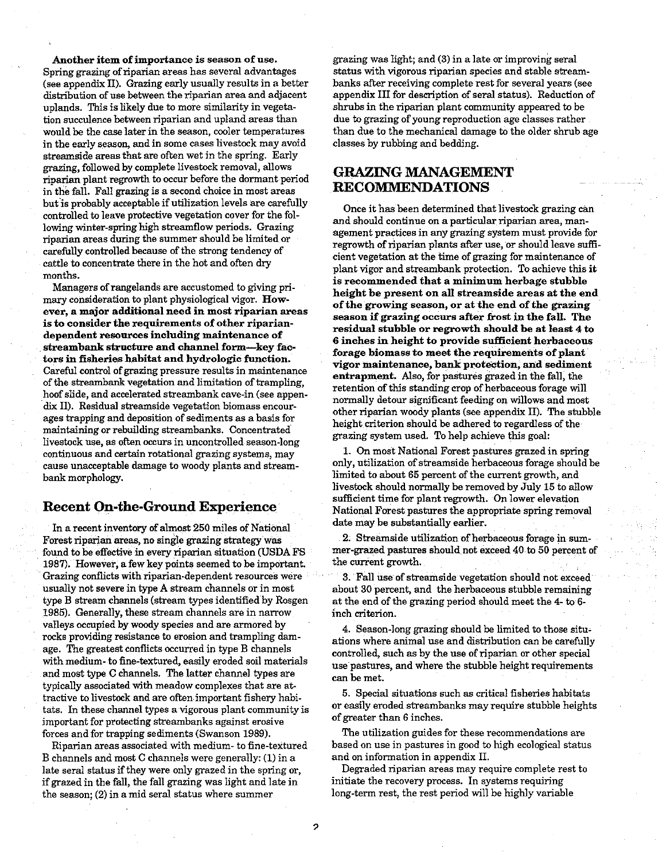Another item of importance is season of use. Spring grazing of riparian areas has several advantages (see appendix 11). Grazing early usually results in a better distribution of use between the riparian area and adjacent uplands. This is likely due to more similarity in vegetation succulence between riparian and upland areas than would be the case later in the season, cooler temperatures in the early season, and in some cases livestock may avoid streamside areas that are often wet in the spring. Early grazing, followed by complete livestock removal, allows riparian plant regrowth to occur before the dormant period in the fall. Fall grazing is a second choice in most areas but is probably acceptable if utilization levels are carefully controlled to leave protective vegetation cover for the following winter-spring high streamflow periods. Grazing riparian areas during the summer should be limited or carefully controlled because of the strong tendency of cattle to concentrate there in the hot and often dry months.

Managers of rangelands are accustomed to giving primary consideration to plant physiological vigor. However, a major additional need in most riparian areas is to consider the requirements of other ripariandependent resources including maintenance of streambank structure and channel form-key factors in fisheries habitat and hydrologic function. Careful control of grazing pressure results in maintenance of the streambank vegetation and limitation of trampling. hoof slide, and accelerated streambank cave-in (see appendix 11). Residual streamside vegetation biomass encourages trapping and deposition of sediments as a basis for maintaining or rebuilding streambanks. Concentrated livestock use, as often occurs in uncontrolled season-long continuous and certain rotational grazing systems, may cause unacceptable damage to woody plants and streambank morphology.

#### **Recent On-the-Ground Experience**

In a recent inventory of almost 250 miles of National Forest riparian areas, no single grazing strategy was found to be effective in every riparian situation (USDA FS 1987). However, afew key points seemed to be important. Grazing conflicts with riparian-dependent resources were usually not severe in type A stream channels or in most type B stream channels (stream types identified by Rosgen 1985). Generally, these stream channels are in narrow valleys occupied by woody species and are armored by rocks providing resistance to erosion and trampling damage. The greatest conflicts occurred in type B channels with medium- to fine-textured, easily eroded soil materials and most type **C** channels. The latter channel types are typically associated with meadow complexes that are attractive to livestock and are often important fishery habitats. In these channel types a vigorous plant community is important for protecting streambanks against erosive forces and for trapping sediments (Swanson 1989).

Riparian areas associated with medium- to fine-textured B channels and most C channels were generally: (1) in a late seral status if they were only grazed in the spring or, if grazed in the fall, the fall grazing was light and late in the season; (2) in a mid seral status where summer

grazing was light; and (3) in a late or improving seral status with vigorous riparian species and stable streambanks after receiving complete rest for several years (see appendix 111 for description of seral status). Reduction of shrubs in the riparian plant community appeared to be due to grazing of young reproduction age classes rather than due to the mechanical damage to the older shrub age classes by rubbing and bedding.

#### **GRAZING MANAGEMENT RECOMMENDATIONS**

Once it has been determined that livestock grazing can and should continue on a particular riparian area, management practices in any grazing system must provide for regrowth of riparian plants after use, or should leave sufficient vegetation at the time of grazing for maintenance of plant vigor and streambank protection. To achieve this it is recommended that a minimum herbage stubble height be present on all streamside areas at the end of the growing season, or at the end of the grazing season if grazing occurs after frost in the fall. The residual stubble or regrowth should be at least 4 to **6** inches in height to provide sufficient herbaceous forage biomass to meet the requirements of plant vigor maintenance, bank protection, and sediment entrapment. Also, for pastures grazed in the fall, the retenion of this standing crop of herbaceous forage will normally detour significant feeding on willows and most other riparian woody plants (see appendix 11). The stubble height criterion should be adhered to regardless of the grazing system used. To help achieve this goal:

1. On most National Forest pastures grazed in spring only, utilization of streamside herbaceous forage should be limited to about 65 percent of the current growth, and livestock should normally be removed by July 15 to allow sufficient time for plant regrowth. On lower elevation National Forest pastures the appropriate spring removal date may be substantially earlier.

2. Streamside utilization of herbaceous forage in summer-grazed pastures should not exceed 40 to 50 percent of the current growth.

3. Fall use of streamside vegetation should not exceed about 30 percent, and the herbaceous stubble remaining at the end of the grazing period should meet the 4 to 6 inch criterion.

4. Season-long grazing should be limited to those situations where animal use and distribution can be carefully controlled, such as by the use of riparian or other special use pastures, and where the stubble height requirements can be met.

5. Special situations such as critical fisheries habitats or easily eroded streambanks may require stubble heights of greater than 6 inches.

The utilization guides for these recommendations are based on use in pastures in good to high ecological status and on information in appendix 11.

Degraded riparian areas may require complete rest to initiate the recovery process. In systems requiring long-term rest, the rest period will be highly variable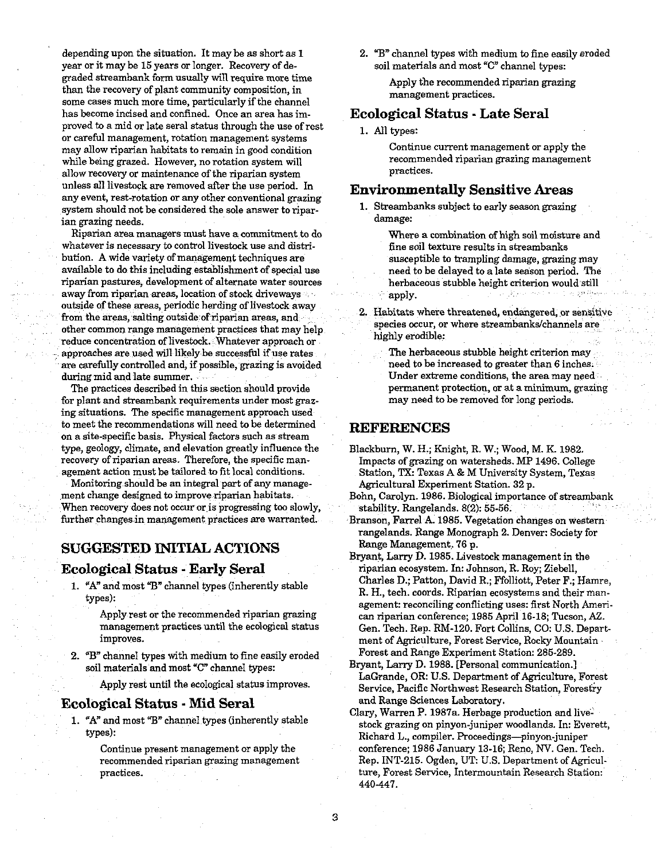depending upon the situation. It may be as short as 1 2. **73"** channel types with medium to fine easily eroded year or it may be 15 years or longer. Recovery of degraded streambank form usually will require more time than the recovery of plant community composition, in some cases much more time, particularly if the channel has become incised and confined. Once an area has improved to a mid or late seral status through the use of rest or careful management, rotation management systems may allow riparian habitats to remain in good condition while being grazed. However, no rotation system will allow recovery or maintenance of the riparian system unless all livestock are removed after the use period. In any event, rest-rotation or any other conventional grazing system should not be considered the sole answer to riparian grazing needs.

Riparian area managers must have a commitment to do whatever is necessary to control livestock use and distribution. A wide variety of management techniques are available to do this including establishment of special use riparian pastures, development of alternate water sources away from riparian areas, location of stock driveways outside of these areas, periodic herding of livestock away from the areas, salting outside of riparian areas, and other common range management practices that may help reduce concentration of livestock. Whatever approach or - approaches are used will likely be successful if use rates are carefully controlled and, if possible, grazing is avoided during mid and late summer.

The practices described in this section should provide for plant and streambank requirements under most grazing situations. The specific management approach used to meet the recommendations will need to be determined on a site-specific basis. Physical factors such as stream type, geology, climate, and elevation greatly influence the recovery of riparian areas. Therefore, the specific management action must be tailored to fit local conditions.

Monitoring should be an integral part of any management change designed to improve riparian habitats. When recovery does not occur or is progressing too slowly, further changes in management practices are warranted.

#### **SUGGESTED INITIAL ACTIONS**

#### **Ecological Status** - **Early Seral**

- 1. "A" and most "B" channel types (inherently stable types):
	- Apply rest or the recommended riparian grazing management practices until the ecological status improves.
- 2. "B" channel types with medium to fine easily eroded soil materials and most "C" channel types:

Apply rest until the ecological status improves.

Apply the recommended riparian grazing management practices.

#### **Ecological Status** - **Late Seral**

1. All types:

Continue current management or apply the recommended riparian grazing management practices.

#### **Environmentally Sensitive Areas**

- 1. Streambanks subject to early season grazing damage:
	- Where a combination of high soil moisture and fine soil texture results in streambanks susceptible to trampling damage, grazing may need to be delayed to a late season period. The herbaceous stubble height criterion would still apply.
- 2. Habitats where threatened, endangered, or sensitive species occur, or where streambanks/channels are highly erodible:
	- The herbaceous stubble height criterion may need to be increased to greater than 6 inches. Under extreme conditions, the area may need permanent protection, or at a minimum, grazing may need to be removed for long periods.

#### **REFERENCES**

- Blackburn, W. H.; Knight, R. W.; Wood, M. K. 1982. Impacts of grazing on watersheds. MP 1496. College Station, **TX:** Texas A & M University System, Texas Agricultural Experiment Station. 32 p.
- Bohn, Carolyn. 1986. Biological importance of streambank stability. Rangelands. 8(2): 55-56.
- Branson, Farrel A. 1985. Vegetation changes on western rangelands. Range Monograph 2. Denver: Society for Range Management. 76 p.
- Bryant, Larry D. 1985. Livestock management in the riparian ecosystem. In: Johnson, R. Roy; Ziebell, Charles D.; Patton, David R.; Ffolliott, Peter F.; Hamre, R. H., tech. coords. Riparian ecosystems and their management: reconciling conflicting uses: first North American riparian conference; 1985 April 16-18; Tucson, **AZ.**  Gen. Tech. Rep. RM-120. Fort Collins, CO: U.S. Department of Agriculture, Forest Service, Rocky Mountain Forest and Range Experiment Station: 285-289.
- Bryant, Larry D. 1988. [Personal communication.] LaGrande, OR: U.S. Department of Agriculture, Forest Service, Pacific Northwest Research Station, Forestry
- **Ecological Status Mid Seral** and Range Sciences Laboratory.<br>Clary, Warren P. 1987a. Herbage production and live-1. "A" and most "B" channel types (inherently stable<br>types):<br>tock grazing on pinyon-juniper woodlands. In: Everett,<br>Richard L., compiler. Proceedings—pinyon-juniper Continue present management or apply the conference: 1986 January 13-16; Reno, NV. Gen. Tech. recommended riparian grazing management Rep. INT-215. Ogden, UT: U.S. Department of Agriculpractices. ture, Forest Service, Intermountain Research Station: 440-447.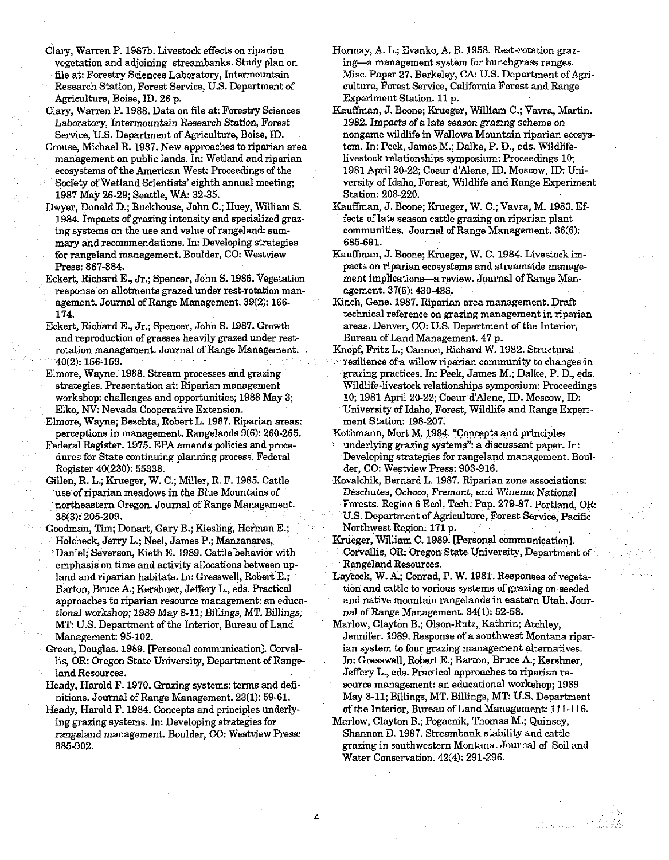Clary, Warren P. 1987b. Livestock effects on riparian vegetation and adjoining streambanks. Study plan on file at: Forestry Sciences Laboratory, Intermountain Research Station, Forest Service, U.S. Department of Agriculture, Boise, ID. 26 p.

Clary, Warren P. 1988. Data on file at: Forestry Sciences Laboratory, Intermountain Research Station, Forest Service, U.S. Department of Agriculture, Boise, ID.

- Crouse, Michael R. 1987. New approaches to riparian area management on public lands. In: Wetland and riparian ecosystems of the American West: Proceedings of the Society of Wetland Scientists' eighth annual meeting; 1987 May 26-29; Seattle, WA: 32-85.
- Dwyer, Donald D.; Buckhouse, John C.; Huey, William S. 1984. Impacts of grazing intensity and specialized grazing systems on the use and value of rangeland: summary and recommendations. In: Developing strategies for rangeland management. Boulder, CO: Westview Press: 867-884.
- Eckert, Richard E., Jr.; Spencer, John S. 1986. Vegetation response on allotments grazed under rest-rotation manrupture to the material general Management. 39(2): 166-<br>174.
- Eckert, Richard E., Jr.; Spencer, John S. 1987. Growth and reproduction of grasses heavily grazed under restrotation management. Journal of Range Management. 40(2): 156-159.
- Elmore, Wayne. 1988. Stream processes and grazing strategies. Presentation at: Riparian management workshop: challenges and opportunities; 1988 May 3; Elko, NV: Nevada Cooperative Extension.
- Elmore, Wayne; Beschta, Robert L. 1987. Riparian areas: perceptions in management. Rangelands 9(6): 260-265.
- Federal Register. 1975. EPA amends policies and procedures for State continuing planning process. Federal Register 40(280): 55888.
- Gillen, R. L.; Krueger, W. C.; Miller, R. F. 1985. Cattle use of riparian meadows in the Blue Mountains of northeastern Oregon. Journal of Range Management. 38(3): 205-209.
- Goodman, Tim; Donart, Gary B.; Kiesling, Herman E.; Holcheck, Jerry L.; Neel, James P.; Manzanares, Daniel; Severson, Kieth E. 1989. Cattle behavior with emphasis on time and activity allocations between upland and riparian habitats. In: Gresswell, Robert E.; Barton, Bruce **A;** Kershner, Jeffery L., eds. Practical approaches to riparian resource management: an educational workshop; 1989 May 8-11; Billings, MT. Billings, MT: U.S. Department of the Interior, Bureau of Land Management: 95-102.
- Green, Douglas. 1989. [Personal communication]. Corvallis, OR: Oregon State University, Department of Rangeland Resources.
- Heady, Harold F. 1970. Grazing systems: terms and definitions. Journal of Range Management. 23(1): 59-61.
- Heady, Harold F. 1984. Concepts and principles underlying grazing systems. In: Developing strategies for rangeland management. Boulder, CO: Westview Press: 885-902.
- Hormay, A L.; Evanko, A. B. 1958. Rest-rotation grazing-a management system for hunchgrass ranges. Misc. Paper 27. Berkeley, CA: U.S. Department of **Agn**culture, Forest Service, California Forest and Range Experiment Station. 11 p.
- Kauffman, J. Boone; Krueger, William C.; Vavra, Martin. 1982. Impacts of a late season grazing scheme on nongame wildlife in Wallowa Mountain riparian ecosystem. In: Peek, James M.; Dalke, P. D., eds. Wildlifelivestock relationships symposium: Proceedings 10; 1981 April 20-22; Coeur d'Alene, ID. Moscow, ID: University of Idaho, Forest, Wildlife and Range Experiment Station: 208-220.
- Kauffman, J. Boone; Krueger, W. C.; Vavra, M. 1983. Effects of late season cattle grazing on riparian plant communities. Journal of Range Management. 36(6): 685-691.
- Kauffman, J. Boone; Krueger, W. C. 1984. Livestock impacts on riparian ecosystems and streamside management implications-a review. Journal of Range Management. 37(5): 430-438.
- Kinch, Gene. 1987. Riparian area management. Draft technical reference on grazing management in riparian areas. Denver, CO: U.S. Department of the Interior, Bureau of Land Management. 47 p.
- Knopf, Fritz L.; Cannon, Richard W. 1982. Structural resilience of a willow riparian community to changes in grazing practices. In: Peek, James M.; Dalke, P. D., eds. Wildlife-livestcck relationships symposium: Proceedings 10; 1981 April 20-22; Coeur d'Alene, ID. Moscow, ID: University of Idaho, Forest, Wildlife and Range Experiment Station: 198-207.
- Kothmann, Mort M. 1984. "Concepts and principles underlying grazing systems": a discussant paper. In: Developing strategies for rangeland management. Boulder, CO: Westview Press: 903-916.
- Kovalchik, Bernard L. 1987. Riparian zone associations: Deschutes, Ochoco, Fremont, and Winerna National Forests. Region 6 Ecol. Tech. Pap. 279-87. Portland, OR: U.S. Department of Agriculture, Forest Service, Pacific Northwest Region. 171 p.
- Krueger, William C. 1989. [Personal communication]. Corvallis, OR: Oregon State University, Department of Rangeland Resources.
- Laycock, W. A; Conrad, P. W. 1981. Responses of vegetation and cattle to various systems of grazing on seeded and native mountain rangelands in eastern Utah. Journal of Range Management. 34(1): 52-58.
- Marlow, Clayton B.; Olson-Rutz, Kathrin; Atchley, Jennifer. 1989. Response of a southwest Montana riparian system to four grazing management alternatives. In: Gresswell, Robert E.; Barton, Bruce A.; Kershner, Jeffery L., eds. Practical approaches to riparian resource management: an educational workshop; 1989 May 8-11; Billings, MT. Billings, MT: U.S. Department of the Interior, Bureau of Land Management: 111-116.
- Marlow, Clayton B.; Pogacnik, Thomas M.; Quinsey, Shannon D. 1987. Streambank stability and cattle grazing in southwestern Montana. Journal of Soil and Water Conservation. 42(4): 291-296.

4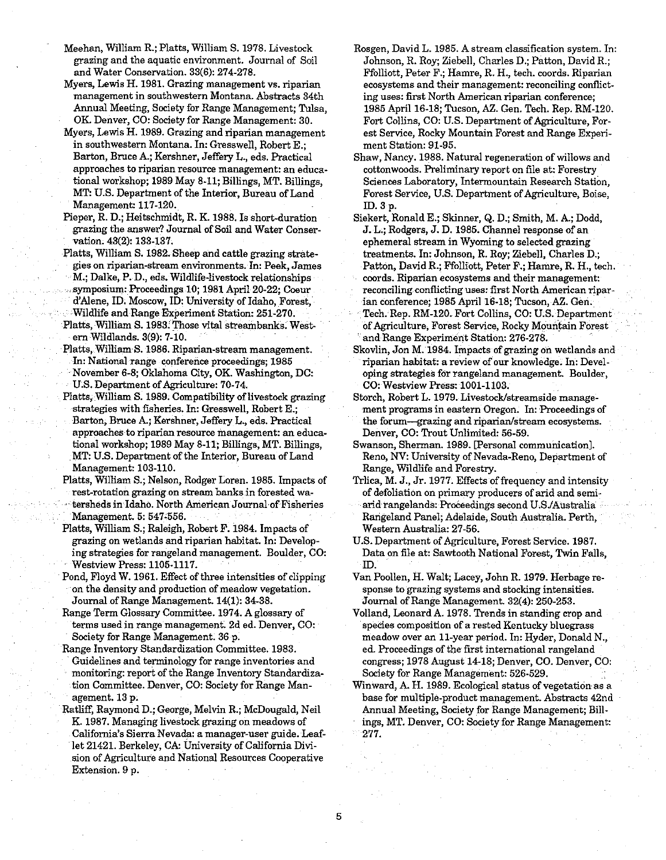- Meehan, William R.; Platts, William S. 1978. Livestock grazing and the aquatic environment. Journal of Soil and Water Conservation. 33(6): 274-278.
- Myers, Lewis H. 1981. Grazing management vs. riparian management in southwestern Montana Abstracts 34th Annual Meeting, Society for Range Management; Tulsa, OK. Denver, CO: Society for Range Management: 30.
- Myers, Lewis H. 1989. Grazing and riparian management in southwestern Montana. In: Gresswell, Robert E.; Barton, Bruce A.; Kershner, Jeffery L., eds. Practical approaches to riparian resource management: an educational workshop; 1989 May 8-11; Billings, MT. Billings, MT: U.S. Department of the Interior, Bureau of Land Management: 117-120.
- Pieper, R. D.; Heitschmidt, R. K. 1988. Is short-duration grazing the answer? Journal of Soil and Water Conservation. 43(2): 133-137.
- Platts, William S. 1982. Sheep and cattle grazing strategies on riparian-stream environments. In: Peek, James M.; Dalke, P. D., eds. Wildlife-livestock relationships symposium: Proceedings 10; 1981 April 20-22; Coeur d'Alene, ID. Moscow, ID: University of Idaho, Forest, Wildlife and Range Experiment Station: 251-270. Platts. William S. 1983. Those vital streambanks. Westem Wildlands. 3(9): 7-10.
- Platts, William S. 1986. Riparian-stream management. In: National range conference proceedings; 1985 November 6-8; Oklahoma City, OK. Washington, DC: U.S. Department of Agriculture: 70-74.
- Platts, William S. 1989. Compatibility of livestock grazing strategies with fisheries. In: Gresswell, Robert E.; Barton, Bruce A; Kershner, Jeffery L., eds. Practical approaches to riparian resource management: an educational workshop; 1989 May 8-11; Billings, MT. Billings, MT: U.S. Department of the Interior, Bureau of Land Management: 103-110.
- Platts, William S.; Nelson, Rodger Loren. 1985. Impacts of rest-rotation grazing on stream banks in forested watersheds in Idaho. North American Journal of Fisheries Management. 5: 547-556.
- Platts, William S.; Raleigh, Robert F. 1984. Impacts of grazing on wetlands and riparian habitat. In: Developing strategies for rangeland management. Boulder, CO: Westview Press: 1105-1117.
- Pond, Floyd W. 1961. Effect of three intensities of clipping on the density and production of meadow vegetation. Journal of Range Management. 14(1): 3438.
- Range Tern Glossary Committee. 1974. A glossary of terms used in range management. 2d ed. Denver, CO: Society for Range Management. 36 p.
- Range Inventory Standardization Committee. 1983. Guidelines and terminology for range inventories and monitoring: report of the Range Inventory Standardization Committee. Denver, CO: Society for Range Man- agement. 13 p.
- Ratliff, Raymond D.; George, Melvin R.; McDougald, Neil K. 1987. Managing livestock grazing on meadows of California's Sierra Nevada: a manager-user guide. Leaflet 21421. Berkelev. CA: Universitv of California Division of Agriculture and National Resources Cooperative Extension. 9 p.
- Rosgen, David L. 1985. Astream classification system. In: Johnson, R. Roy; Ziebell, Charles D.; Patton, David R.; Ffolliott, Peter F.; Hamre, R. H., tech. coords. Riparian ecosystems and their management: reconciling conflicting uses: first North American riparian conference; 1985 April 16-18; Tucson, **AZ.** Gen. Tech. Rep. RM-120. Fort Collins, CO: US. Department of Agriculture, Forest Service, Rocky Mountain Forest and Range Experiment Station: 91-95.
- Shaw, Nancy. 1988. Natural regeneration of willows and cottonwoods. Preliminary report on file at: Forestry Sciences Laboratory, Intermountain Research Station, Forest Service, U.S. Department of Agriculture, Boise, ID. 3 p.
- Siekert, Ronald E.; Skinner, Q. D.; Smith, M. A.; Dodd, **J.** L.; Rodgers, J. D. 1985. Channel response of an ephemeral stream in Wyoming to selected grazing treatments. In: Johnson, R. Roy; Ziebell, Charles D.; Patton, David R.; Ffolliott, Peter F.; Hamre, R. H., tech. coords. Riparian ecosystems and their management: reconciling conflicting uses: first North American riparian conference; 1985 April 16-18; Tucson, **AZ.** Gen. Tech. Rep. RM-120. Fort Collins, CO: U.S. Department of Agriculture, Forest Service, Rocky Mountain Forest and Range Experiment Station: 276-278.
- Skovlin, Jon M. 1984. Impacts of grazing on wetlands and riparian habitat: a review of our knowledge. In: Developing strategies for rangeland management. Boulder, CO: Westview Press: 1001-1103.
- Storch, Robert L. 1979. Livestock/streamside management programs in eastern Oregon. In: Proceedings of the forum-grazing and riparian/stream ecosystems. Denver, CO: Trout Unlimited: 56-59.
- Swanson, Sherman. 1989. [Personal communication]. Reno, NV: University of Nevada-Reno, Department of Range, Wildlife and Forestry.
- Trlica, M. J., Jr. 1977. Effects of frequency and intensity of defoliation on primary producers of arid and semi-
- arid rangelands: Proceedings second USJAustralia Rangeland Panel; Adelaide, South Australia. Perth, Western Australia: 27-56.
- US. Department of Agriculture, Forest Service. 1987. between the at: Sawtooth National Forest, Twin Falls,<br>
ID.<br>
ID.
- Van Poollen, H. Walt; Lacey, John R. 1979. Herbage response to grazing systems and stocking intensities. Journal of Range Management. 32(4): 250-253.
- Volland, Leonard A. 1978. Trends in standing crop and species composition of a rested Kentucky bluegrass meadow over an 11-year period. In: Hyder, Donald N., ed. Proceedings of the first international rangeland congress; 1978 August 14-18; Denver, CO. Denver, CO: Society for Range Management: 526-529.
- Winward, A. H. 1989. Ecological status of vegetation as a base for multiple-product management. Abstracts 42nd Annual Meeting, Society for Range Management; Billings, MT. Denver, CO: Society for Range Management: 277.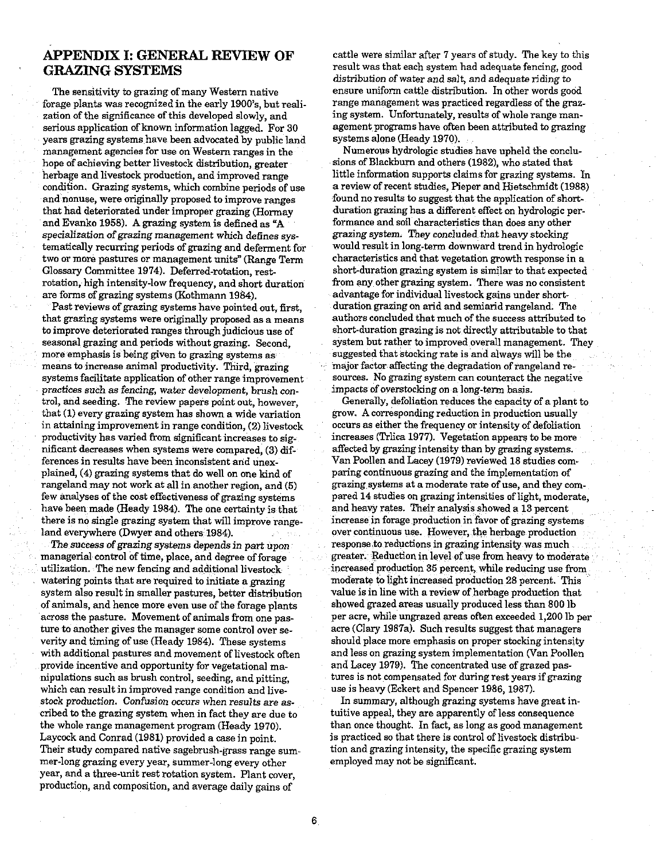#### **APPENDIX I: GENERAL REVIEW OF GRAZING SYSTEMS**

The sensitivity to grazing of many Western native forage plants was recognized in the early 1900's, but realization of the significance of this developed slowly, and serious application of known information lagged. For 30 years grazing systems have been advocated by public land management agencies for use on Western ranges in the hope of achieving better livestock distribution, greater herbage and livestock production, and improved range condition. Grazing systems, which combine periods of use and nonuse, were originally proposed to improve ranges that had deteriorated under improper grazing (Hormay and Evanko 1958). **A** grazing system is defined as **"A**  specialization of grazing management which defines systematically recurring periods of grazing and deferment for two or more pastures or management units" (Range Term Glossary Committee 1974). Deferred-rotation, restrotation, high intensity-low frequency, and short duration are forms of grazing systems (Kothmann 1984).

Past reviews of grazing systems have pointed out, first, that grazing systems were originally proposed as a means to improve deteriorated ranges through judicious use of seasonal grazing and periods without grazing. Second, more emphasis is being given to grazing systems as means to increase animal productivity. Third, grazing systems facilitate application of other range improvement practices such as fencing, water development, brush control, and seeding. The review papers point out, however, that (1) every grazing system has shown a wide variation in attaining improvement in range condition, (2) livestock productivity has varied from significant increases to significant decreases when systems were compared, (3) differences in results have been inconsistent and unexplained, (4) grazing systems that do well on one kind of rangeland may not work at all in another region, and (5) few analyses of the cost effectiveness of grazing systems have been made (Heady 1984). The one certainty is that there is no single grazing system that will improve rangeland everywhere (Dwyer and others 1984).

The success of grazing systems depends in part upon managerial control of time, place, and degree of forage utilization. The new fencing and additional livestock watering points that are required to initiate a grazing system also result in smaller pastures, better distribution of animals, and hence more even use of the forage plants across the pasture. Movement of animals from one pasture to another gives the manager some control over severity and timing of use (Heady 1984). These systems with additional pastures and movement of livestock often provide incentive and opportunity for vegetational manipulations such as brush control, seeding, and pitting, which can result in improved range condition and livestock production. Confusion occurs when results are ascribed to the grazing system when in fact they are due to the whole range management program (Heady 1970). Laycock and Conrad (1981) provided a case in point. Their study compared native sagebrush-grass range summer-long grazing every year, summer-long every other year, and a three-unit rest rotation system. Plant cover, production, and composition, and average daily gains of

cattle were similar after 7 years of study. The key to this result was that each system had adequate fencing, good distribution of water and salt, and adequate riding to ensure uniform cattle distribution. In other words good range management was practiced regardless of the grazing system. Unfortunately, results of whole range management programs have often been attributed to grazing systems alone (Heady 1970).

Numerous hydrologic studies have upheld the conclusions of Blackbum and others (1982). who stated that little information supports claims for grazing systems. In a review of recent studies, Pieper and Hietschmidt (1988) found no results to suggest that the application of shortduration grazing has a different effect on hydrologic performance and soil characteristics than does any other grazing system. They concluded that heavy stocking would result in long-term downward trend in hydrologic characteristics and that vegetation growth response in a short-duration grazing system is similar to that expected from any other grazing system. There was no consistent advantage for individual livestock gains under shortduration grazing on arid and semiarid rangeland. The authors concluded that much of the success attributed to short-duration grazing is not directly attributable to that system but rather to improved overall management. They suggested that stocking rate is and always will be the major factor affecting the degradation of rangeland resources. No grazing system can counteract the negative impacts of overstocking on a long-term basis.

Generally, defoliation reduces the capacity of a plant to grow. **A** corresponding reduction in production usually occurs as either the frequency or intensity of defoliation increases (Trlica 1977). Vegetation appears to be more affected by grazing intensity than by grazing systems. Van Poollen and Lacey (1979) reviewed 18 studies comparing continuous grazing and the implementation of grazing systems at a moderate rate of use, and they compared 14 studies on grazing intensities of light, moderate, and heavy rates. Their analysis showed a 13 percent increase in forage production in favor of grazing systems over continuous use. However, the herbage production response to reductions in grazing intensity was much greater. Reduction in level of use from heavy to moderate increased production 35 percent, while reducing use from moderate to light increased production 28 percent. This value is in line with a review of herbage production that showed grazed areas usually produced less than 800 lb per acre, while ungrazed areas often exceeded 1,200 lb per acre (Clary 1987a). Such results suggest that managers should place more emphasis on proper stocking intensity and less on grazing system implementation (Van Poollen and Lacey 1979). The concentrated use of grazed pastures is not compensated for during rest years if grazing use is heavy (Eckert and Spencer 1986,1987).

In summary, although grazing systems have great intuitive appeal, they are apparently of less consequence than once thought. In fact, as long as good management is practiced so that there is control of livestock distribution and grazing intensity, the specific grazing system employed may not be significant.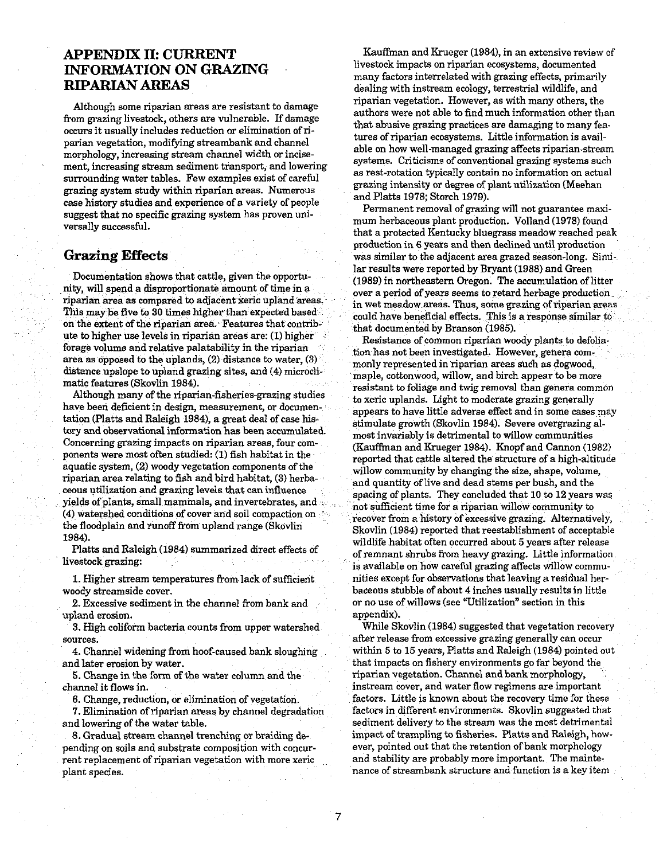#### **APPENDIX 11: CURRENT INFORMATION ON GRAZING RIPARIAN AREAS**

Although some riparian areas are resistant to damage from grazing livestock, others are vulnerable. If damage occurs it usually includes reduction or elimination of riparian vegetation, modifying streambank and channel morphology, increasing stream channel width or incisement, increasing stream sediment transport, and lowering surrounding water tables. Few examples exist of careful grazing system study within riparian areas. Numerous case history studies and experience of a variety of people suggest that no specific grazing system has proven universally successful.

#### **Grazing Effects**

Documentation shows that cattle, given the opportunity, will spend a disproportionate amount of time in a riparian area as compared to adjacent xeric upland This may be five to 30 times higher than expected based on the extent of the riparian area. Features that con ute to higher use levels in riparian areas are: (1) higher forage volume and relative palatability in the riparian area as opposed to the uplands, (2) distance to water, **(3)**  distance upslope to upland grazing sites, and (4) microclimatic features (Skovlin 1984).

Although many of the riparian-fisheries-grazing studies have been deficient in design, measurement, or documentation (Platts and Raleigh 1984), a great deal of case history and observational information has been accumulated. Concerning grazing impacts on riparian areas, four components were most often studied: (1) fish habitat in the aquatic system, (2) woody vegetation components of the riparian area relating to fish and bird habitat, (3) her ceous utilization and grazing levels that can influence yields of plants, small mammals, and invertebrates, and (4) watershed conditions of cover and soil compaction on the floodplain and runoff from upland range (Skovlin 1984).

Platts and Raleigh (1984) summarized direct effects of livestock grazing:

1. Higher stream temperatures from lack of sufficient woody streamside cover.

2. Excessive sediment in the channel from bank and upland erosion.

3. High coliform bacteria counts from upper watershed sources.

4. Channel widening from hoof-caused bank sloughing and later erosion by water.

5. Change in the form of the water column and the channel it flows in.

6. Change, reduction, or elimination of vegetation.

7. Elimination of riparian areas by channel degradation and lowering of the water table.

8. Gradual stream channel trenching or braiding depending on soils and substrate composition with concurrent replacement of riparian vegetation with more xeric plant species.

Kauffman and Krueger (1984), in an extensive review of livestock impacts on riparian ecosystems, documented many factors interrelated with grazing effects, primarily dealing with instream ecology, terrestrial wildlife, and riparian vegetation. However, as with many others, the authors were not able to find much information other than that abusive grazing practices are damaging to many features of riparian ecosystems. Little information is available on how well-managed grazing affects riparian-stream systems. Criticisms of conventional grazing systems such as rest-rotation typically contain no information on actual grazing intensity or degree of plant utilization (Meehan and Platts 1978; Storch 1979).

Permanent removal of grazing will not guarantee maximum herbaceous plant production. Volland (1978) found that a protected Kentucky bluegrass meadow reached peak production in 6 years and then declined until production was similar to the adjacent area grazed season-long. Similar results were reported by Bryant (1988) and Green (1989) in northeastern Oregon. The accumulation of litter over a period of years seems to retard herbage production in wet meadow areas. Thus, some grazing of riparian areas could have beneficial effects. This is a response simil that documented by Branson (1985).

Resistance of common riparian woody plants to de tion has not been investigated. However, genera commonly represented in riparian areas such as dogwood, maple, cottonwood, willow, and birch appear to be more resistant to foliage and twig removal than genera common to xeric uplands. Light to moderate grazing generally appears to have little adverse effect and in some cases may stimulate growth (Skovlin 1984). Severe overgrazing almost invariably is detrimental to willow communities (Kaufian and Krueger 1984). Knopf and Cannon (1982) reported that cattle altered the structure of a high-altitude willow community by changing the size, shape, volume, and quantity of live and dead stems per bush, and the spacing of plants. They concluded that 10 to 12 years was not sufficient time for a riparian willow community to recover from a history of excessive grazing. Alternatively, Skovlin (1984) reported that reestablishment of acceptable wildlife habitat often occurred about 5 years after release of remnant shrubs from heavy grazing. Little information is available on how careful grazing affects willow communities except for obsewations that leaving a residual herbaceous stubble of about 4 inches usually results in little or no use of willows (see "Utilization" section in this appendix).

While Skovlin (1984) suggested that vegetation recovery after release from excessive grazing generally can occur within 5 to 15 years, Platts and Raleigh (1984) pointed out that impacts on fishery environments go far beyond the ripanan vegetation. Channel and bank morphology, instream cover, and water flow regimens are important factors. Little is known about the recovery time for these factors in different environments. Skovlin suggested that sediment delivery to the stream was the most detrimental impact of trampling to fisheries. Platts and Raleigh, however, pointed out that the retention of bank morphology and stability are probably more important. The maintenance of streambank structure and function is a key item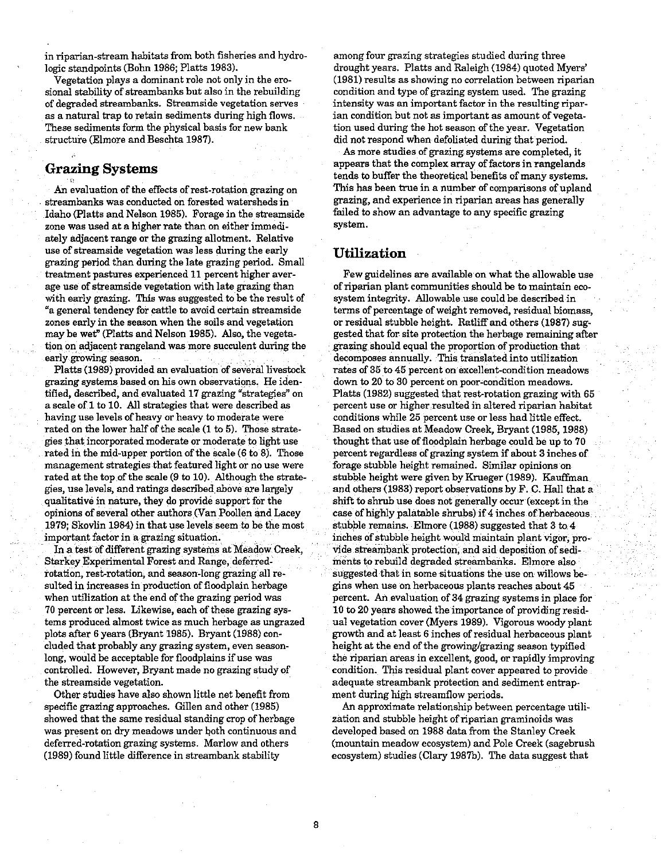in riparian-stream habitats from both fisheries and hydrologic standpoints (Bohn 1986; Platts 1983).

vegetation plays a dominant role not only in the erosional stability of streambanks but also in the rebuilding of degraded streambanks. Streamside vegetation serves as a natural trap to retain sediments during high flows. These sediments form the physical basis for new bank structure (Elmore and Beschta 1987).

#### **Grazing Systems**

An evaluation of the effects of rest-rotation grazing on streambanks was conducted on forested watersheds in Idaho (Platts and Nelson 1985). Forage in the streamside zone was used at a higher rate than on either immediately adjacent range or the grazing allotment. Relative use of streamside vegetation was less during the early grazing period than during the late grazing period. Small treatment pastures experienced 11 percent higher average use of streamside vegetation with late grazing than with early grazing. This was suggested to be the result of "a general tendency for cattle to avoid certain streamside zones early in the season when the soils and vegetation may be wet" (Platts and Nelson 1985). Also, the vegetation on adjacent rangeland was more succulent during the early growing season.

Platts (1989) provided an evaluation of several livestock grazing systems based on his own observations. He identified, described, and evaluated 17 grazing "strategies" on a scale of 1 to 10. All strategies that were described as having use levels of heavy or heavy to moderate were rated on the lower half of the scale (1 to 5). Those strategies that incorporated moderate or moderate to light use rated in the mid-upper portion of the scale  $(6 \text{ to } 8)$ . Those management strategies that featured light or no use were rated at the top of the scale (9 to 10). Although the strategies, use levels, and ratings described above are largely qualitative in nature, they do provide support for the opinions of several other authors (Van Poollen and Lacey 1979; Skovlin 1984) in that use levels seem to be the most important factor in a grazing situation.

In a test of different grazing systems at Meadow Creek, Starkey Experimental Forest and Range, deferredrotation, rest-rotation, and season-long grazing all resulted in increases in production of floodplain herbage when utilization at the end of the grazing period was 70 percent or less. Likewise, each of these grazing systems produced almost twice as much herbage as ungrazed plots after 6 years (Bryant 1985). Bryant (1988) concluded that probably any grazing system, even seasonlong, would be acceptable for floodplains if use was controlled. However, Bryant made no grazing study of the streamside vegetation.

Other studies have also shown little net benefit from specific grazing approaches. Gillen and other (1985) showed that the same residual standing crop of herbage was present on dry meadows under both continuous and deferred-rotation grazing systems. Marlow and others (1989) found little difference in streambank stability

among four grazing strategies studied during three drought years. Platts and Raleigh (1984) quoted Myers' (1981) results as showing no correlation between riparian condition and type of grazing system used. The grazing intensity was an important factor in the resulting riparian condition but not as important as amount of vegetation used during the hot season of the year. Vegetation did not respond when defoliated during that period.

As more studies of grazing systems are completed, it appears that the complex array of factors in rangelands tends to buffer the theoretical benefits of many systems. This has been true in a number of comparisons of upland grazing, and experience in riparian areas has generally failed to show an advantage to any specific grazing system.

#### **Utilization**

Few guidelines are available on what the allowable use of riparian plant communities should be to maintain ecosystem integrity. Allowable use could be described in terms of percentage of weight removed, residual biomass, or residual stubble height. Ratliff and others (1987) suggested that for site protection the herbage remaining after grazing should equal the proportion of production that decomposes annually. This translated into utilization rates of 35 to 45 percent on excellent-condition meadows down to 20 to 30 percent on poor-condition meadows. Platts (1982) suggested that rest-rotation grazing with 65 percent use or higher resulted in altered riparian habitat conditions while 25 percent use or less had little effect. Based on studies at Meadow Creek, Bryant (1985,1988) thought that use of floodplain herbage could be up to 70 percent regardless of grazing system if about 3 inches of forage stubble height remained. Similar opinions on stubble height were given by Krueger (1989). Kauffian and others (1983) report observations by F. C. Hall that a shift to shrub use does not generally occur (except in the case of highly palatable shrubs) if 4 inches of herbaceous stubble remains. Elmore (1988) suggested that 3 to 4 inches of stubble height would maintain plant vigor, provide streambank protection, and aid deposition of sediments to rebuild degraded streambanks. Elmore also suggested that in some situations the use on willows begins when use on herbaceous plants reaches about 45 percent. An evaluation of 34 grazing systems in place for 10 to 20 years showed the importance of providing residual vegetation cover (Myers 1989). Vigorous woody plant growth and at least 6 inches of residual herbaceous plant height at the end of the growing/grazing season typified the riparian areas in excellent, good, or rapidly improving condition. This residual plant cover appeared to provide adequate streambank protection and sediment entrapment during high streamflow periods.

An approximate relationship between percentage utilization and stubble height of riparian graminoids was developed based on 1988 data from the Stanley Creek (mountain meadow ecosystem) and Pole Creek (sagebrush ecosystem) studies (Clary 1987b). The data suggest that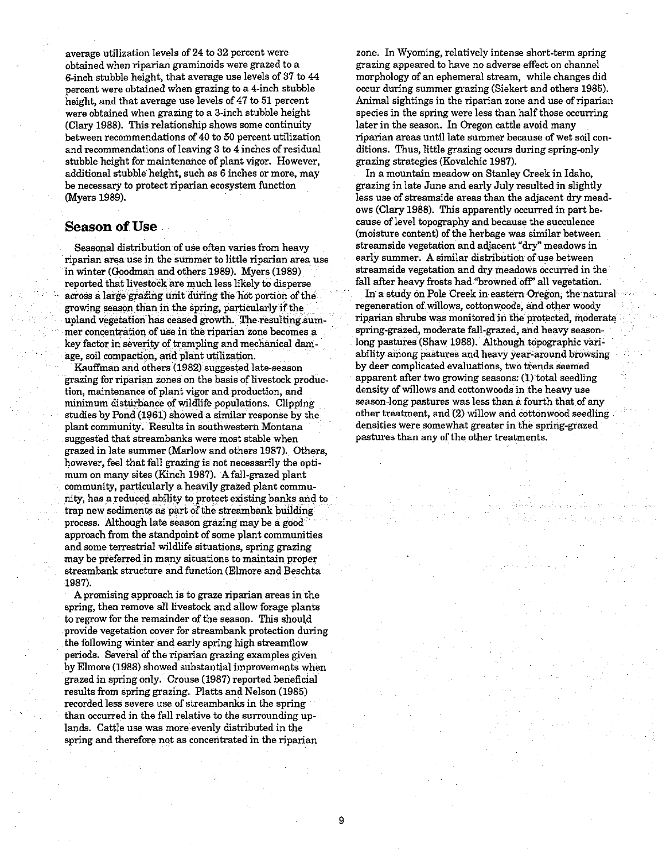average utilization levels of **24** to 32 percent were obtained when riparian graminoids were grazed to a 6-inch stubble height, that average use levels of 37 to 44 percent were obtained when grazing to a 4-inch stubble height, and that average use levels of **47** to 51 percent were obtained when grazing to a 3-inch stubble height (Clary 1988). This relationship shows some continuity between recommendations of **40** to **50** percent utilization and recommendations of leaving 3 to 4 inches of residual stubble height for maintenance of plant vigor. However, additional stubble height, such as 6 inches or more, may be necessary to protect riparian ecosystem function (Myers 1989).

#### **Season of Use**

Seasonal distribution of use often varies from heavy riparian area use in the summer to little riparian area use in winter (Goodman and others 1989). Myers (1989) reported that livestock are much less likely to disperse across a large grazing unit during the hot portion of the growing season than in the spring, particularly if the upland vegetation has ceased growth. The resulting summer concentration of use in the riparian zone becomes a key factor in severity of trampling and mechanical damage, soil compaction, and plant utilization.

Kauffman and others (1982) suggested late-season grazing for riparian zones on the basis of livestock production, maintenance of plant vigor and production, and minimum disturbance of wildlife populations. Clipping studies by Pond (1961) showed a similar response by the plant community. Results in southwestern Montana suggested that streambanks were most stable when grazed in late summer (Marlow and others 1987). Others, however, feel that fall grazing is not necessarily the optimum on many sites (Kinch 1987). Afall-grazed plant community, particularly a heavily grazed plant community, has a reduced ability to protect existing banks and to trap new sediments as part of the streambank building process. Although late season grazing may be a good approach from the standpoint of some plant communities and some terrestrial wildlife situations, spring grazing may be preferred in many situations to maintain proper streambank structure and function (Elmore and Beschta 1987).

Apromising approach is to graze riparian areas in the spring, then remove all livestock and allow forage plants to regrow for the remainder of the season. This should provide vegetation cover for streambank protection during the following winter and early spring high streamflow periods. Several of the riparian grazing examples given by Elmore (1988) showed substantial improvements when grazed in spring only. Crouse (1987) reported beneficial results from spring grazing. Platts and Nelson (1985) recorded less severe use of streambanks in the spring than occurred in the fall relative to the surrounding uplands. Cattle use was more evenly distributed in the spring and therefore not as concentrated in the riparian

zone. In Wyoming, relatively intense short-term spring grazing appeared to have no adverse effect on channel morphology of an ephemeral stream, while changes did occur during summer grazing (Siekert and others 1985). Animal sightings in the riparian zone and use of riparian species in the spring were less than half those occurring later in the season. In Oregon cattle avoid many riparian areas until late summer because of wet soil conditions. Thus, little grazing occurs during spring-only grazing strategies (Kovalchic 1987).

In a mountain meadow on Stanley Creek in Idaho, grazing in late June and early July resulted in slightly less use of streamside areas than the adjacent dry meadows (Clary 1988). This apparently occurred in part because of level topography and because the succulence (moisture content) of the herbage was similar between streamside vegetation and adjacent "dry" meadows in early summer. A similar distribution of use between streamside vegetation and dry meadows occurred in the fall after heavy frosts had "browned off" all vegetation.

In a study on Pole Creek in eastern Oregon, the natural regeneration of willows, cottonwoods, and other woody riparian shrubs was monitored in the protected, modera spring-grazed, moderate fall-grazed, and heavy seasonlong pastures (Shaw 1988). Although topographic variability among pastures and heavy year-around browsing by deer complicated evaluations, two trends seemed apparent after two growing seasons: (1) total seedling density of willows and cottonwoods in the heavy use season-long pastures was less than a fourth that of any other treatment, and **(2)** willow and cottonwood seedllng densities were somewhat greater in the spring-grazed pastures than any of the other treatments.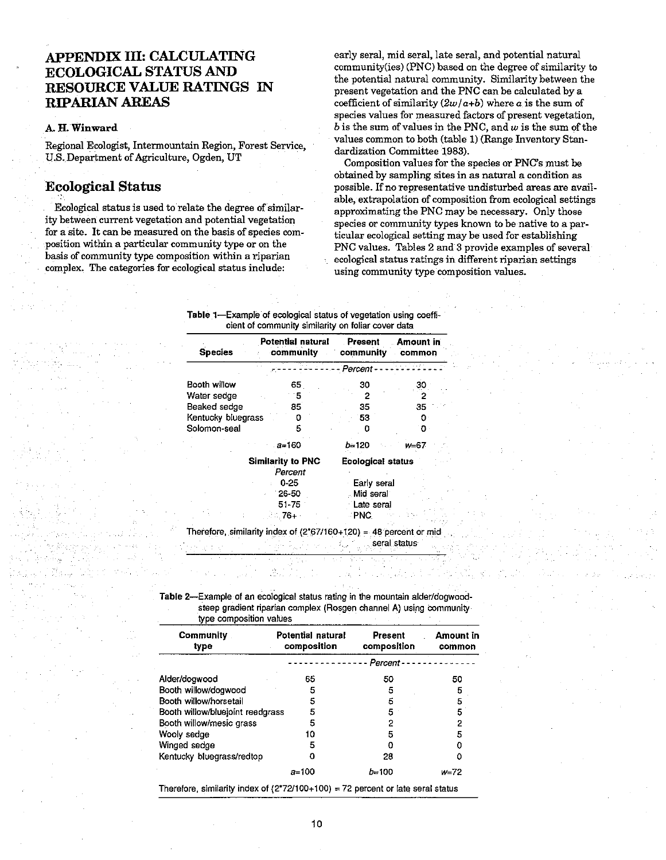### **APPENDIX 111: CALCULATING ECOLOGICAL STATUS AND RESOURCE VALUE RATINGS IN RIPARIAN AREAS**

#### **k H.** Winward

Regional Ecologist, Intermountain Region, Forest Service, US. Department of Agriculture, Ogden, UT

#### **Ecological Status**

Ecological status is used to relate the degree of similarity between current vegetation and potential vegetation for a site. It can be measured on the basis of species composition within a particular community type or on the basis of community type composition within a riparian complex. The categories for ecological status include:

early seral, mid seral, late seral, and potential natural community(ies) (PNC) based on the degree of similarity to the potential natural community. Similarity between the present vegetation and the PNC can be calculated by a coefficient of similarity  $(2w/a+b)$  where a is the sum of species values for measured factors of present vegetation,  $b$  is the sum of values in the PNC, and  $w$  is the sum of the values common to both (table 1) (Range Inventory Standardization Committee 1983).

Composition values for the species or PNC's must be obtained by sampling sites in **as** natural a condition **as**  possible. If no representative undisturbed areas are available, extrapolation of composition from ecological settings approximating the PNC may be necessary. Only those species or community types known to be native to a particular ecological setting may be used for establishing PNC values. Tables 2 and 3 provide examples of several ecological status ratings in different riparian settings using community type composition values.

Table 1-Example of ecological status of vegetation using coefficient of community similarity on foliar cover data

| <b>Species</b>     | Potential natural<br>community | <b>Present</b><br>community | Amount in<br>common |
|--------------------|--------------------------------|-----------------------------|---------------------|
|                    |                                | - Percent -                 |                     |
| Booth willow       | 65                             | 30                          | 30                  |
| Water sedge        | 5                              | 2                           |                     |
| Beaked sedge       | 85                             | 35                          | 35                  |
| Kentucky bluegrass |                                | 53                          |                     |
| Solomon-seal       |                                |                             |                     |
|                    | $a = 160$                      | $b = 120$                   | $W = 67$            |
|                    | Similarity to PNC<br>Percent   | <b>Ecological status</b>    |                     |
|                    | $0 - 25$                       | Early seral                 |                     |
|                    | $26 - 50$                      | Mid seral                   |                     |
|                    | 51 75                          | Late seral                  |                     |
|                    | .76+                           | ∴PNC.                       |                     |

seral status

Table 2-Example of an ecological status rating **m he** mountain alderldogwoodsteep gradient riparian complex (Rosgen channel A) using community type composttion values

| Community<br>type                | <b>Potential natural</b><br>composition | <b>Present</b><br>composition | Amount in<br>common |  |
|----------------------------------|-----------------------------------------|-------------------------------|---------------------|--|
|                                  | - Percent -                             |                               |                     |  |
| Alder/dogwood                    | 65                                      | 50                            | 50                  |  |
| Booth willow/dogwood             | 5                                       | 5                             | 5                   |  |
| Booth willow/horsetail           | 5                                       | 5                             | 5                   |  |
| Booth willow/bluejoint reedgrass | 5                                       | 5                             | 5                   |  |
| Booth willow/mesic grass         | 5                                       | 2                             | 2                   |  |
| Wooly sedge                      | 10                                      | 5                             | 5                   |  |
| Winged sedge                     | 5                                       |                               |                     |  |
| Kentucky bluegrass/redtop        | o                                       | 28                            |                     |  |
|                                  | $a = 100$                               | $b = 100$                     | w=72                |  |

Therefore, similarity index of  $(2^7/2^7100+100) = 72$  percent or late seral status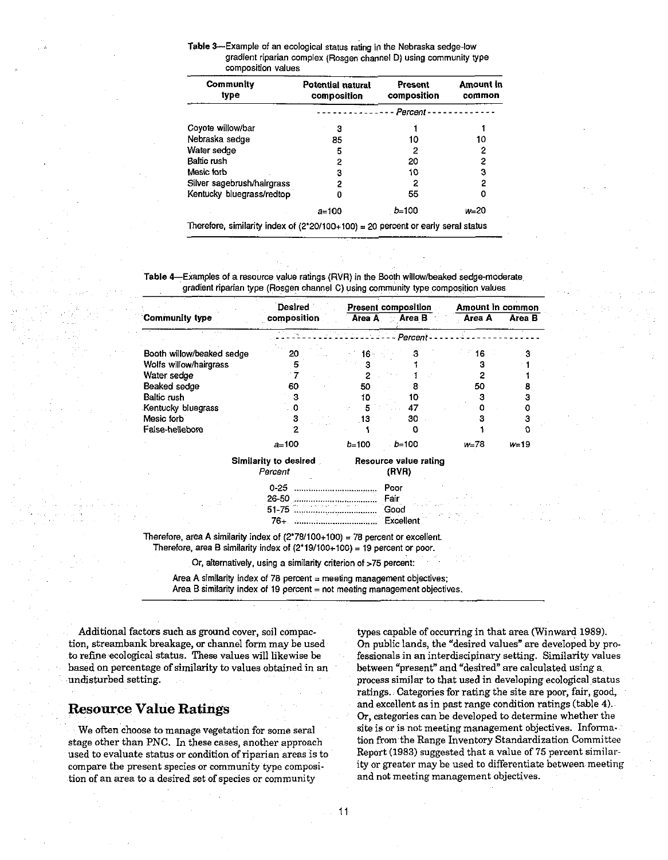Table 3-Example of an ecological status rating in the Nebraska sedge-low gradient riparian complex (Rosgen channel **D)** using community type comoosition values

| Community<br>tvpe                                                                  | Potential natural<br>composition | Present<br>composition | Amount in<br>common |  |
|------------------------------------------------------------------------------------|----------------------------------|------------------------|---------------------|--|
|                                                                                    | - - Percent -                    |                        |                     |  |
| Coyote willow/bar                                                                  | 3                                |                        |                     |  |
| Nebraska sedge                                                                     | 85                               | 10                     | 10                  |  |
| Water sedge                                                                        | 5                                | 2                      | 2                   |  |
| <b>Baltic rush</b>                                                                 | 2                                | 20                     | 2                   |  |
| Mesic forb                                                                         | 3                                | 10                     | 3                   |  |
| Silver sagebrush/hairgrass                                                         | 2                                | 2                      | 2                   |  |
| Kentucky bluegrass/redtop                                                          | o                                | 55                     | 0                   |  |
|                                                                                    | a=100                            | $b=100$                | w=20                |  |
| Therefore, similarity index of $(2*20/100+100) = 20$ percent or early seral status |                                  |                        |                     |  |

Table &Examples of a resource value ratinqs (RVR) in the Booth willow/beaked sedaemoderate gradient riparian type (Rosgen channel C) using community type composition values

|                           | Desired                                 | Present composition |                                | Amount in common |          |
|---------------------------|-----------------------------------------|---------------------|--------------------------------|------------------|----------|
| Community type            | composition                             | Area A              | Area B                         | Area A           | Area B   |
|                           |                                         |                     | Percent-                       |                  |          |
| Booth willow/beaked sedge | 20                                      | I6 -                | з                              | 6                |          |
| Wolfs willow/hairgrass    |                                         |                     |                                | я                |          |
| Water sedge               |                                         |                     |                                |                  |          |
| Beaked sedge              | 60                                      | 50                  | В                              | 50               |          |
| Baltic rush               | з                                       | 10                  | 10                             | з                |          |
| Kentucky bluegrass        | 0                                       | 5                   | 47                             |                  |          |
| Mesic forb                | з                                       | 13                  | 30                             |                  |          |
| Faise-hellebore           |                                         |                     | Ω                              |                  | o        |
|                           | $a = 100$                               | $b = 100$           | $b = 100$                      | $W = 78$         | $V = 19$ |
|                           | <b>Similarity to desired</b><br>Percent |                     | Resource value rating<br>(PVR) |                  |          |
|                           | $0 - 25$                                |                     | Poor                           |                  |          |
|                           | $26 - 50$                               |                     | Fair                           |                  |          |
|                           | 51-75                                   |                     | Good                           |                  |          |
|                           | 76+.                                    |                     | Excellent                      |                  |          |

Therefore, area A similarity index of  $(2^*78/100+100) = 78$  percent or excellent. Therefore, area B similarity index of  $(2*19/100+100) = 19$  percent or poor.

Or, alternatively, using a similarity criterion of >75 percent:

Area A similarity index of 78 percent  $=$  meeting management objectives; Area B similarity index of 19 percent = not meeting management objectives.

Additional factors such as ground cover, soil compaction, streambank breakage, or channel form may be used to refine ecological status. These values will likewise be based on percentage of similarity to values obtained in an undisturbed setting.

#### **Resource Value Ratings**

We often choose to manage vegetation for some seral stage other than PNC. In these cases, another approach used to evaluate status or condition of riparian areas is to compare the present species or community type composition of an area to a desired set of species or community

types capable of occurring in that area (Winward 1989). On public lands, the "desired values" are developed by professionals in an interdiscipinary setting. Similarity values between "present" and "desired" are calculated using a process similar to that used in developing ecological status ratings. Categories for rating the site are poor, fair, good, and excellent as in past range condition ratings (table **4).**  Or, categories can be developed to determine whether the site is or is not meeting management objectives. Information from the Range Inventory Standardization Committee Report (1983) suggested that a value of  $75$  percent similarity or greater may be used to differentiate between meeting and not meeting management objectives.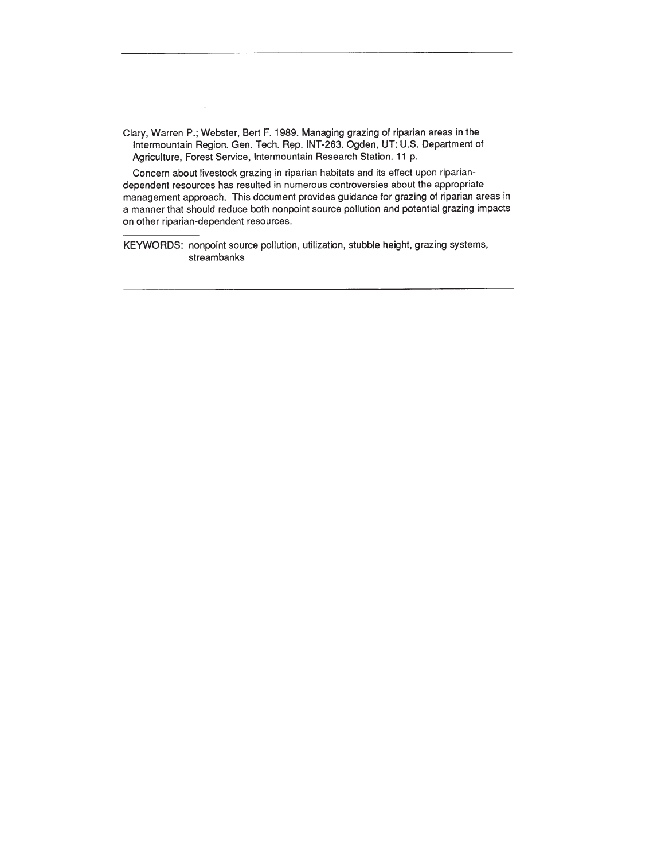Clary, Warren P.; Webster, Bert F. 1989. Managing grazing of riparian areas in the lntermountain Region. Gen. Tech. Rep. INT-263. Ogden, UT: U.S. Department of Agriculture, Forest Service, lntermountain Research Station. 11 p.

Concern about livestock grazing in riparian habitats and its effect upon ripariandependent resources has resulted in numerous controversies about the appropriate management approach. This document provides guidance for grazing of riparian areas in a manner that should reduce both nonpoint source pollution and potential grazing impacts on other riparian-dependent resources.

KEYWORDS: nonpoint source pollution, utilization, stubble height, grazing systems, streambanks